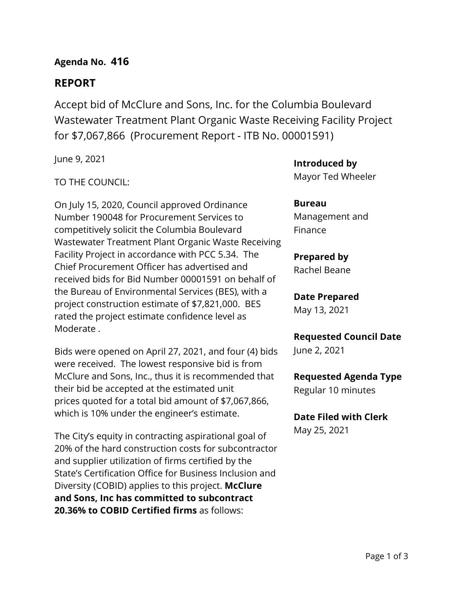## **Agenda No. 416**

# **REPORT**

Accept bid of McClure and Sons, Inc. for the Columbia Boulevard Wastewater Treatment Plant Organic Waste Receiving Facility Project for \$7,067,866 (Procurement Report - ITB No. 00001591)

June 9, 2021

### TO THE COUNCIL:

On July 15, 2020, Council approved Ordinance Number 190048 for Procurement Services to competitively solicit the Columbia Boulevard Wastewater Treatment Plant Organic Waste Receiving Facility Project in accordance with PCC 5.34. The Chief Procurement Officer has advertised and received bids for Bid Number 00001591 on behalf of the Bureau of Environmental Services (BES), with a project construction estimate of \$7,821,000. BES rated the project estimate confidence level as Moderate .

Bids were opened on April 27, 2021, and four (4) bids were received. The lowest responsive bid is from McClure and Sons, Inc., thus it is recommended that their bid be accepted at the estimated unit prices quoted for a total bid amount of \$7,067,866, which is 10% under the engineer's estimate.

The City's equity in contracting aspirational goal of 20% of the hard construction costs for subcontractor and supplier utilization of firms certified by the State's Certification Office for Business Inclusion and Diversity (COBID) applies to this project. **McClure and Sons, Inc has committed to subcontract 20.36% to COBID Certified firms** as follows:

**Introduced by** Mayor Ted Wheeler

**Bureau** Management and Finance

#### **Prepared by**

Rachel Beane

**Date Prepared** May 13, 2021

**Requested Council Date** June 2, 2021

**Requested Agenda Type** Regular 10 minutes

**Date Filed with Clerk** May 25, 2021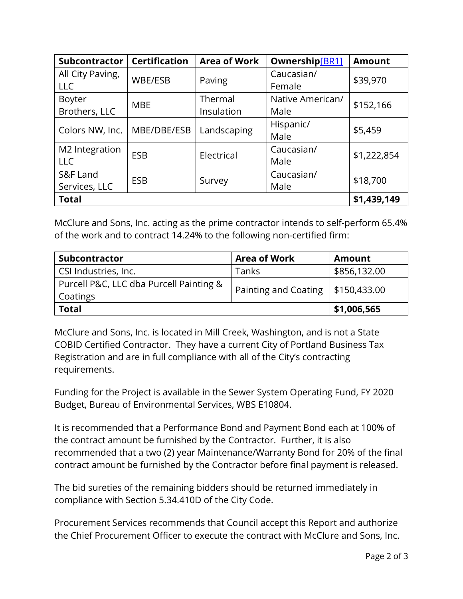| Subcontractor    | <b>Certification</b> | <b>Area of Work</b>  | Ownership[BR1]   | <b>Amount</b> |  |
|------------------|----------------------|----------------------|------------------|---------------|--|
| All City Paving, | WBE/ESB              | Caucasian/<br>Paving |                  | \$39,970      |  |
| LLC              |                      |                      | Female           |               |  |
| Boyter           |                      | Thermal              | Native American/ | \$152,166     |  |
| Brothers, LLC    | <b>MBE</b>           | Insulation           | Male             |               |  |
|                  | MBE/DBE/ESB          | Landscaping          | Hispanic/        | \$5,459       |  |
| Colors NW, Inc.  |                      |                      | Male             |               |  |
| M2 Integration   |                      |                      | Caucasian/       | \$1,222,854   |  |
| <b>LLC</b>       | <b>ESB</b>           | Electrical           | Male             |               |  |
| S&F Land         |                      | Survey               | Caucasian/       |               |  |
| Services, LLC    | <b>ESB</b>           |                      | Male             | \$18,700      |  |
| <b>Total</b>     | \$1,439,149          |                      |                  |               |  |

McClure and Sons, Inc. acting as the prime contractor intends to self-perform 65.4% of the work and to contract 14.24% to the following non-certified firm:

| Subcontractor                           | <b>Area of Work</b>  | <b>Amount</b> |  |
|-----------------------------------------|----------------------|---------------|--|
| CSI Industries, Inc.                    | Tanks                | \$856,132.00  |  |
| Purcell P&C, LLC dba Purcell Painting & |                      | \$150,433.00  |  |
| Coatings                                | Painting and Coating |               |  |
| <b>Total</b>                            | \$1,006,565          |               |  |

McClure and Sons, Inc. is located in Mill Creek, Washington, and is not a State COBID Certified Contractor. They have a current City of Portland Business Tax Registration and are in full compliance with all of the City's contracting requirements.

Funding for the Project is available in the Sewer System Operating Fund, FY 2020 Budget, Bureau of Environmental Services, WBS E10804.

It is recommended that a Performance Bond and Payment Bond each at 100% of the contract amount be furnished by the Contractor. Further, it is also recommended that a two (2) year Maintenance/Warranty Bond for 20% of the final contract amount be furnished by the Contractor before final payment is released.

The bid sureties of the remaining bidders should be returned immediately in compliance with Section 5.34.410D of the City Code.

Procurement Services recommends that Council accept this Report and authorize the Chief Procurement Officer to execute the contract with McClure and Sons, Inc.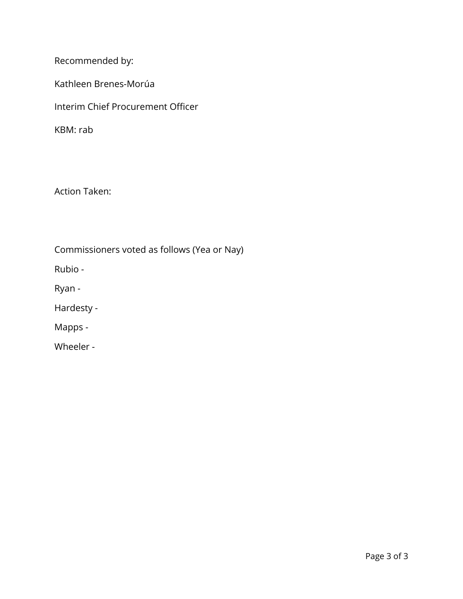Recommended by:

Kathleen Brenes-Morúa

Interim Chief Procurement Officer

KBM: rab

Action Taken:

Commissioners voted as follows (Yea or Nay)

Rubio -

Ryan -

Hardesty -

Mapps -

Wheeler -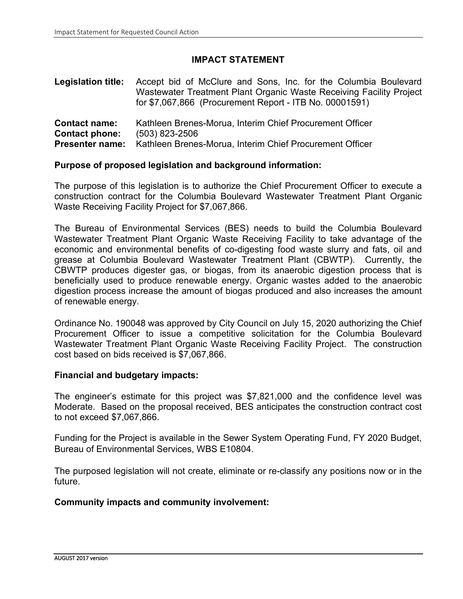## **IMPACT STATEMENT**

**Legislation title:** Accept bid of McClure and Sons, Inc. for the Columbia Boulevard Wastewater Treatment Plant Organic Waste Receiving Facility Project for \$7,067,866 (Procurement Report - ITB No. 00001591) **Contact name:** Kathleen Brenes-Morua, Interim Chief Procurement Officer Contact phone: (503) 823-2506 **Contact phone: Presenter name:** Kathleen Brenes-Morua, Interim Chief Procurement Officer

# **Purpose of proposed legislation and background information:**

The purpose of this legislation is to authorize the Chief Procurement Officer to execute a construction contract for the Columbia Boulevard Wastewater Treatment Plant Organic Waste Receiving Facility Project for \$7,067,866.

The Bureau of Environmental Services (BES) needs to build the Columbia Boulevard Wastewater Treatment Plant Organic Waste Receiving Facility to take advantage of the economic and environmental benefits of co-digesting food waste slurry and fats, oil and grease at Columbia Boulevard Wastewater Treatment Plant (CBWTP). Currently, the CBWTP produces digester gas, or biogas, from its anaerobic digestion process that is beneficially used to produce renewable energy. Organic wastes added to the anaerobic digestion process increase the amount of biogas produced and also increases the amount of renewable energy.

Ordinance No. 190048 was approved by City Council on July 15, 2020 authorizing the Chief Procurement Officer to issue a competitive solicitation for the Columbia Boulevard Wastewater Treatment Plant Organic Waste Receiving Facility Project. The construction cost based on bids received is \$7,067,866.

#### **Financial and budgetary impacts:**

The engineer's estimate for this project was \$7,821,000 and the confidence level was Moderate. Based on the proposal received, BES anticipates the construction contract cost to not exceed \$7,067,866.

Funding for the Project is available in the Sewer System Operating Fund, FY 2020 Budget, Bureau of Environmental Services, WBS E10804.

The purposed legislation will not create, eliminate or re-classify any positions now or in the future.

#### **Community impacts and community involvement:**